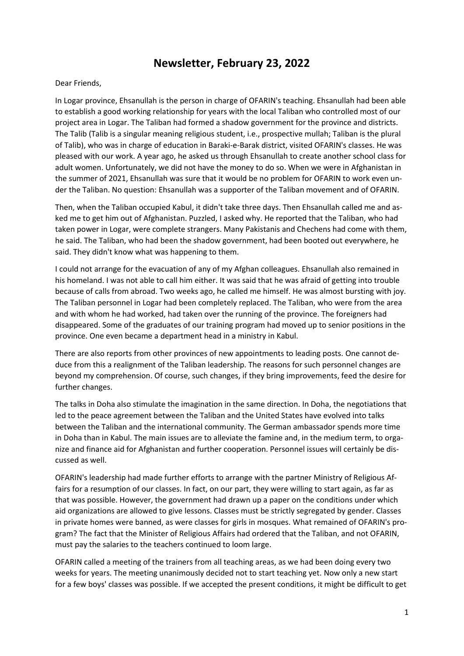## **Newsletter, February 23, 2022**

## Dear Friends,

In Logar province, Ehsanullah is the person in charge of OFARIN's teaching. Ehsanullah had been able to establish a good working relationship for years with the local Taliban who controlled most of our project area in Logar. The Taliban had formed a shadow government for the province and districts. The Talib (Talib is a singular meaning religious student, i.e., prospective mullah; Taliban is the plural of Talib), who was in charge of education in Baraki-e-Barak district, visited OFARIN's classes. He was pleased with our work. A year ago, he asked us through Ehsanullah to create another school class for adult women. Unfortunately, we did not have the money to do so. When we were in Afghanistan in the summer of 2021, Ehsanullah was sure that it would be no problem for OFARIN to work even under the Taliban. No question: Ehsanullah was a supporter of the Taliban movement and of OFARIN.

Then, when the Taliban occupied Kabul, it didn't take three days. Then Ehsanullah called me and asked me to get him out of Afghanistan. Puzzled, I asked why. He reported that the Taliban, who had taken power in Logar, were complete strangers. Many Pakistanis and Chechens had come with them, he said. The Taliban, who had been the shadow government, had been booted out everywhere, he said. They didn't know what was happening to them.

I could not arrange for the evacuation of any of my Afghan colleagues. Ehsanullah also remained in his homeland. I was not able to call him either. It was said that he was afraid of getting into trouble because of calls from abroad. Two weeks ago, he called me himself. He was almost bursting with joy. The Taliban personnel in Logar had been completely replaced. The Taliban, who were from the area and with whom he had worked, had taken over the running of the province. The foreigners had disappeared. Some of the graduates of our training program had moved up to senior positions in the province. One even became a department head in a ministry in Kabul.

There are also reports from other provinces of new appointments to leading posts. One cannot deduce from this a realignment of the Taliban leadership. The reasons for such personnel changes are beyond my comprehension. Of course, such changes, if they bring improvements, feed the desire for further changes.

The talks in Doha also stimulate the imagination in the same direction. In Doha, the negotiations that led to the peace agreement between the Taliban and the United States have evolved into talks between the Taliban and the international community. The German ambassador spends more time in Doha than in Kabul. The main issues are to alleviate the famine and, in the medium term, to organize and finance aid for Afghanistan and further cooperation. Personnel issues will certainly be discussed as well.

OFARIN's leadership had made further efforts to arrange with the partner Ministry of Religious Affairs for a resumption of our classes. In fact, on our part, they were willing to start again, as far as that was possible. However, the government had drawn up a paper on the conditions under which aid organizations are allowed to give lessons. Classes must be strictly segregated by gender. Classes in private homes were banned, as were classes for girls in mosques. What remained of OFARIN's program? The fact that the Minister of Religious Affairs had ordered that the Taliban, and not OFARIN, must pay the salaries to the teachers continued to loom large.

OFARIN called a meeting of the trainers from all teaching areas, as we had been doing every two weeks for years. The meeting unanimously decided not to start teaching yet. Now only a new start for a few boys' classes was possible. If we accepted the present conditions, it might be difficult to get